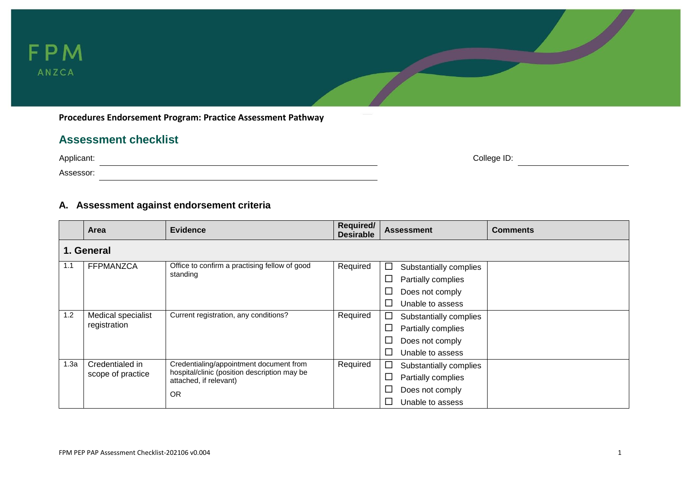

**Procedures Endorsement Program: Practice Assessment Pathway**

## **Assessment checklist**

| Applicant: | College ID: |
|------------|-------------|
| Assessor:  |             |

### **A. Assessment against endorsement criteria**

|      | <b>Area</b>        | <b>Evidence</b>                                                        | Required/<br><b>Desirable</b> | <b>Assessment</b><br><b>Comments</b> |  |  |
|------|--------------------|------------------------------------------------------------------------|-------------------------------|--------------------------------------|--|--|
|      | 1. General         |                                                                        |                               |                                      |  |  |
| 1.1  | <b>FFPMANZCA</b>   | Office to confirm a practising fellow of good                          | Required                      | $\Box$<br>Substantially complies     |  |  |
|      |                    | standing                                                               |                               | Partially complies<br>$\Box$         |  |  |
|      |                    |                                                                        |                               | Does not comply<br>ப                 |  |  |
|      |                    |                                                                        |                               | $\Box$<br>Unable to assess           |  |  |
| 1.2  | Medical specialist | Current registration, any conditions?                                  | Required                      | Substantially complies<br>$\Box$     |  |  |
|      | registration       |                                                                        |                               | □<br>Partially complies              |  |  |
|      |                    |                                                                        |                               | $\Box$<br>Does not comply            |  |  |
|      |                    |                                                                        |                               | Unable to assess<br>$\Box$           |  |  |
| 1.3a | Credentialed in    | Credentialing/appointment document from                                | Required                      | Substantially complies<br>ப          |  |  |
|      | scope of practice  | hospital/clinic (position description may be<br>attached, if relevant) |                               | Partially complies<br>$\Box$         |  |  |
|      |                    | <b>OR</b>                                                              |                               | □<br>Does not comply                 |  |  |
|      |                    |                                                                        |                               | Unable to assess                     |  |  |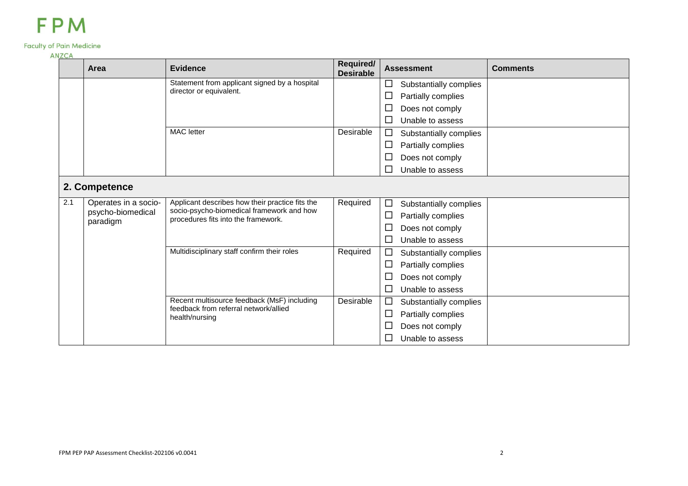### **Faculty of Pain Medicine**

#### **ANZCA**

| $\cdots$ | Area                          | <b>Evidence</b>                                                                              | Required/<br><b>Desirable</b> | <b>Assessment</b>                | <b>Comments</b> |
|----------|-------------------------------|----------------------------------------------------------------------------------------------|-------------------------------|----------------------------------|-----------------|
|          |                               | Statement from applicant signed by a hospital                                                |                               | □<br>Substantially complies      |                 |
|          |                               | director or equivalent.                                                                      |                               | $\Box$<br>Partially complies     |                 |
|          |                               |                                                                                              |                               | ப<br>Does not comply             |                 |
|          |                               |                                                                                              |                               | $\Box$<br>Unable to assess       |                 |
|          |                               | <b>MAC</b> letter                                                                            | Desirable                     | Substantially complies<br>$\Box$ |                 |
|          |                               |                                                                                              |                               | Partially complies<br>$\Box$     |                 |
|          |                               |                                                                                              |                               | $\Box$<br>Does not comply        |                 |
|          |                               |                                                                                              |                               | Unable to assess<br>$\Box$       |                 |
|          | 2. Competence                 |                                                                                              |                               |                                  |                 |
| 2.1      | Operates in a socio-          | Applicant describes how their practice fits the<br>socio-psycho-biomedical framework and how | Required                      | $\Box$<br>Substantially complies |                 |
|          | psycho-biomedical<br>paradigm | procedures fits into the framework.                                                          |                               | Partially complies<br>$\Box$     |                 |
|          |                               |                                                                                              |                               | $\Box$<br>Does not comply        |                 |
|          |                               |                                                                                              |                               | $\Box$<br>Unable to assess       |                 |
|          |                               | Multidisciplinary staff confirm their roles                                                  | Required                      | $\Box$<br>Substantially complies |                 |
|          |                               |                                                                                              |                               | $\Box$<br>Partially complies     |                 |
|          |                               |                                                                                              |                               | $\Box$<br>Does not comply        |                 |
|          |                               |                                                                                              |                               | $\Box$<br>Unable to assess       |                 |
|          |                               | Recent multisource feedback (MsF) including<br>feedback from referral network/allied         | Desirable                     | $\Box$<br>Substantially complies |                 |
|          |                               | health/nursing                                                                               |                               | $\Box$<br>Partially complies     |                 |
|          |                               |                                                                                              |                               | $\Box$<br>Does not comply        |                 |
|          |                               |                                                                                              |                               | $\Box$<br>Unable to assess       |                 |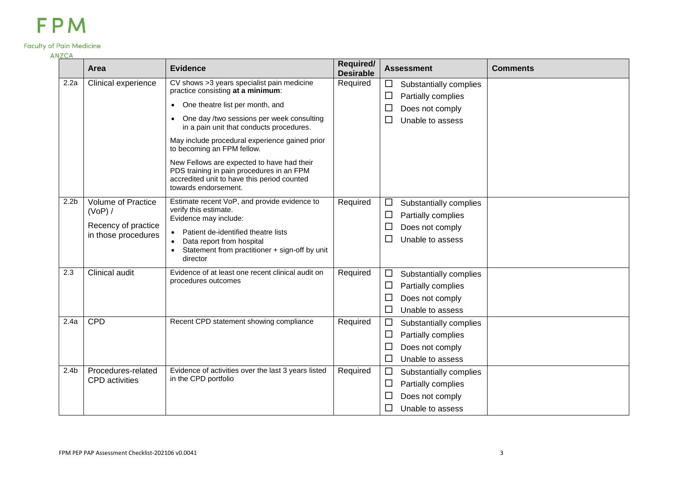#### **Faculty of Pain Medicine**

### **ANZCA Required/** Assessment **Comments Area Evidence Required/**  2.2a Clinical experience CV shows >3 years specialist pain medicine Required  $\Box$  Substantially complies practice consisting **at a minimum**: One theatre list per month, and One day /two sessions per week consulting in a pain unit that conducts procedures. May include procedural experience gained prior to becoming an FPM fellow. New Fellows are expected to have had their PDS training in pain procedures in an FPM

|                  |                                             | One theatre list per month, and<br>$\bullet$<br>One day /two sessions per week consulting<br>in a pain unit that conducts procedures.<br>May include procedural experience gained prior<br>to becoming an FPM fellow.<br>New Fellows are expected to have had their |          | ⊔<br>Does not comply<br>Unable to assess<br>⊔                                                                     |
|------------------|---------------------------------------------|---------------------------------------------------------------------------------------------------------------------------------------------------------------------------------------------------------------------------------------------------------------------|----------|-------------------------------------------------------------------------------------------------------------------|
|                  |                                             | PDS training in pain procedures in an FPM<br>accredited unit to have this period counted<br>towards endorsement.                                                                                                                                                    |          |                                                                                                                   |
| 2.2 <sub>b</sub> | <b>Volume of Practice</b><br>(VoP) /        | Estimate recent VoP, and provide evidence to<br>verify this estimate.                                                                                                                                                                                               | Required | □<br>Substantially complies<br>□<br>Partially complies                                                            |
|                  | Recency of practice<br>in those procedures  | Evidence may include:<br>Patient de-identified theatre lists<br>$\bullet$<br>Data report from hospital<br>Statement from practitioner + sign-off by unit<br>director                                                                                                |          | Does not comply<br>⊔<br>Unable to assess<br>ப                                                                     |
| 2.3              | <b>Clinical audit</b>                       | Evidence of at least one recent clinical audit on<br>procedures outcomes                                                                                                                                                                                            | Required | $\Box$<br>Substantially complies<br>Partially complies<br>⊔<br>⊔<br>Does not comply<br>Unable to assess<br>ΙI     |
| 2.4a             | CPD                                         | Recent CPD statement showing compliance                                                                                                                                                                                                                             | Required | $\Box$<br>Substantially complies<br>⊔<br>Partially complies<br>⊔<br>Does not comply<br>Unable to assess<br>□      |
| 2.4 <sub>b</sub> | Procedures-related<br><b>CPD</b> activities | Evidence of activities over the last 3 years listed<br>in the CPD portfolio                                                                                                                                                                                         | Required | Substantially complies<br>⊔<br>$\Box$<br>Partially complies<br>Does not comply<br>ப<br>$\Box$<br>Unable to assess |

 $\square$  Partially complies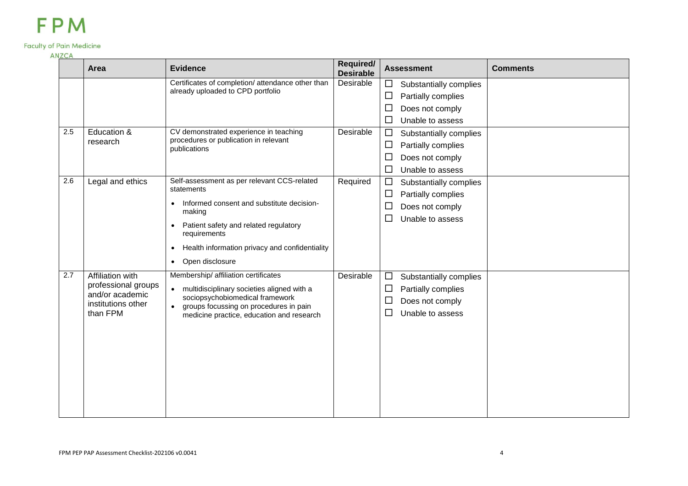### **Faculty of Pain Medicine**

#### **ANZCA**

|     | Area                                                                                         | <b>Evidence</b>                                                                                                                                                                                                                                                          | Required/<br><b>Desirable</b> | <b>Assessment</b>                                                                                                                          | <b>Comments</b> |
|-----|----------------------------------------------------------------------------------------------|--------------------------------------------------------------------------------------------------------------------------------------------------------------------------------------------------------------------------------------------------------------------------|-------------------------------|--------------------------------------------------------------------------------------------------------------------------------------------|-----------------|
|     |                                                                                              | Certificates of completion/ attendance other than<br>already uploaded to CPD portfolio                                                                                                                                                                                   | Desirable                     | Substantially complies<br>$\Box$<br>□<br>Partially complies<br>Does not comply<br>$\Box$                                                   |                 |
| 2.5 | Education &<br>research                                                                      | CV demonstrated experience in teaching<br>procedures or publication in relevant<br>publications                                                                                                                                                                          | Desirable                     | $\Box$<br>Unable to assess<br>□<br>Substantially complies<br>□<br>Partially complies<br>Does not comply<br>ப<br>$\Box$<br>Unable to assess |                 |
| 2.6 | Legal and ethics                                                                             | Self-assessment as per relevant CCS-related<br>statements<br>Informed consent and substitute decision-<br>making<br>Patient safety and related regulatory<br>requirements<br>Health information privacy and confidentiality<br>$\bullet$<br>Open disclosure<br>$\bullet$ | Required                      | □<br>Substantially complies<br>Partially complies<br>□<br>Does not comply<br>ட<br>Unable to assess<br>$\Box$                               |                 |
| 2.7 | Affiliation with<br>professional groups<br>and/or academic<br>institutions other<br>than FPM | Membership/ affiliation certificates<br>multidisciplinary societies aligned with a<br>$\bullet$<br>sociopsychobiomedical framework<br>groups focussing on procedures in pain<br>medicine practice, education and research                                                | Desirable                     | Substantially complies<br>□<br>Partially complies<br>⊔<br>Does not comply<br>ட<br>Unable to assess<br>$\Box$                               |                 |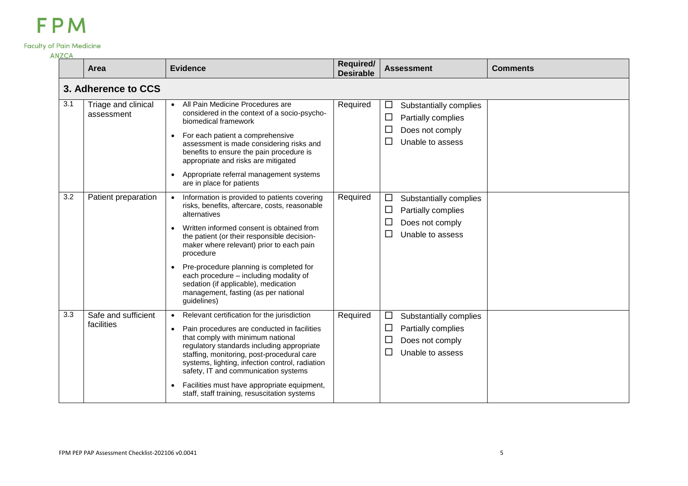### **Faculty of Pain Medicine**

**ANZCA** 

| ANZCA |                                   |                                                                                                                                                                                                                                                                                                                                                                                                                                                                     |                               |                                                                                                         |                 |
|-------|-----------------------------------|---------------------------------------------------------------------------------------------------------------------------------------------------------------------------------------------------------------------------------------------------------------------------------------------------------------------------------------------------------------------------------------------------------------------------------------------------------------------|-------------------------------|---------------------------------------------------------------------------------------------------------|-----------------|
|       | Area                              | <b>Evidence</b>                                                                                                                                                                                                                                                                                                                                                                                                                                                     | Required/<br><b>Desirable</b> | <b>Assessment</b>                                                                                       | <b>Comments</b> |
|       | 3. Adherence to CCS               |                                                                                                                                                                                                                                                                                                                                                                                                                                                                     |                               |                                                                                                         |                 |
| 3.1   | Triage and clinical<br>assessment | All Pain Medicine Procedures are<br>$\bullet$<br>considered in the context of a socio-psycho-<br>biomedical framework<br>For each patient a comprehensive<br>$\bullet$<br>assessment is made considering risks and<br>benefits to ensure the pain procedure is<br>appropriate and risks are mitigated<br>Appropriate referral management systems<br>$\bullet$<br>are in place for patients                                                                          | Required                      | $\Box$<br>Substantially complies<br>$\Box$<br>Partially complies<br>Does not comply<br>Unable to assess |                 |
| 3.2   | Patient preparation               | Information is provided to patients covering<br>risks, benefits, aftercare, costs, reasonable<br>alternatives<br>Written informed consent is obtained from<br>the patient (or their responsible decision-<br>maker where relevant) prior to each pain<br>procedure<br>Pre-procedure planning is completed for<br>$\bullet$<br>each procedure - including modality of<br>sedation (if applicable), medication<br>management, fasting (as per national<br>guidelines) | Required                      | $\Box$<br>Substantially complies<br>$\Box$<br>Partially complies<br>Does not comply<br>Unable to assess |                 |
| 3.3   | Safe and sufficient<br>facilities | Relevant certification for the jurisdiction<br>$\bullet$<br>Pain procedures are conducted in facilities<br>$\bullet$<br>that comply with minimum national<br>regulatory standards including appropriate<br>staffing, monitoring, post-procedural care<br>systems, lighting, infection control, radiation<br>safety, IT and communication systems<br>Facilities must have appropriate equipment,<br>staff, staff training, resuscitation systems                     | Required                      | $\Box$<br>Substantially complies<br>Partially complies<br>∟<br>Does not comply<br>Unable to assess      |                 |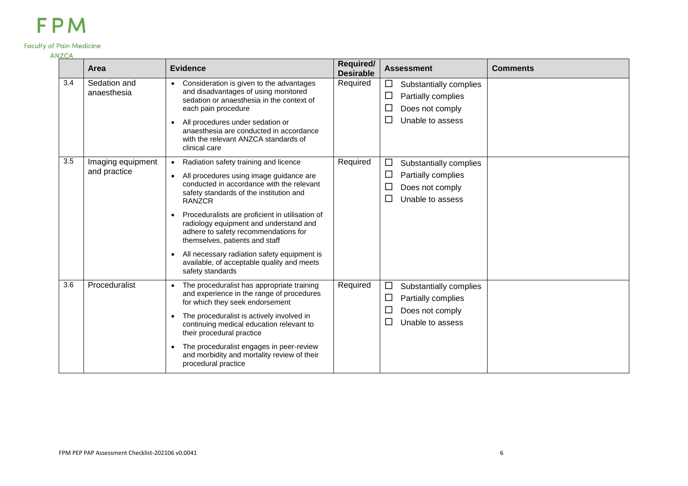### **Faculty of Pain Medicine**

| 117567 | Area                              | <b>Evidence</b>                                                                                                                                                                                                                                                                                                                                                                                                                                                                                                                       | Required/<br><b>Desirable</b> | <b>Assessment</b>                                                                                            | <b>Comments</b> |
|--------|-----------------------------------|---------------------------------------------------------------------------------------------------------------------------------------------------------------------------------------------------------------------------------------------------------------------------------------------------------------------------------------------------------------------------------------------------------------------------------------------------------------------------------------------------------------------------------------|-------------------------------|--------------------------------------------------------------------------------------------------------------|-----------------|
| 3.4    | Sedation and<br>anaesthesia       | Consideration is given to the advantages<br>$\bullet$<br>and disadvantages of using monitored<br>sedation or anaesthesia in the context of<br>each pain procedure<br>All procedures under sedation or<br>$\bullet$<br>anaesthesia are conducted in accordance<br>with the relevant ANZCA standards of<br>clinical care                                                                                                                                                                                                                | Required                      | ⊔<br>Substantially complies<br>Partially complies<br>$\Box$<br>Does not comply<br>$\Box$<br>Unable to assess |                 |
| 3.5    | Imaging equipment<br>and practice | Radiation safety training and licence<br>$\bullet$<br>All procedures using image guidance are<br>$\bullet$<br>conducted in accordance with the relevant<br>safety standards of the institution and<br><b>RANZCR</b><br>Proceduralists are proficient in utilisation of<br>$\bullet$<br>radiology equipment and understand and<br>adhere to safety recommendations for<br>themselves, patients and staff<br>All necessary radiation safety equipment is<br>$\bullet$<br>available, of acceptable quality and meets<br>safety standards | Required                      | $\Box$<br>Substantially complies<br>Partially complies<br>$\Box$<br>Does not comply<br>Unable to assess      |                 |
| 3.6    | Proceduralist                     | The proceduralist has appropriate training<br>and experience in the range of procedures<br>for which they seek endorsement<br>The proceduralist is actively involved in<br>$\bullet$<br>continuing medical education relevant to<br>their procedural practice<br>The proceduralist engages in peer-review<br>$\bullet$<br>and morbidity and mortality review of their<br>procedural practice                                                                                                                                          | Required                      | $\Box$<br>Substantially complies<br>Partially complies<br>ப<br>Does not comply<br>Unable to assess           |                 |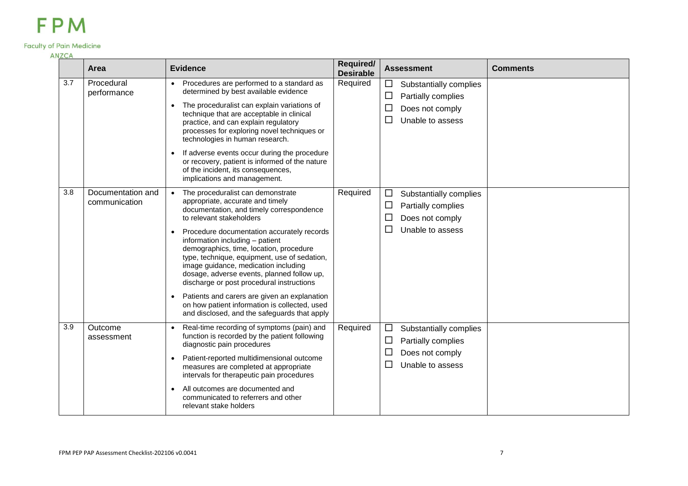#### **Faculty of Pain Medicine**

| <b>ANZCA</b>     |                                    |                                                                                                                                                                                                                                                                                                                                                                                                                                                                                                                                                                                                                                         |                               |                                                                                                                        |                 |
|------------------|------------------------------------|-----------------------------------------------------------------------------------------------------------------------------------------------------------------------------------------------------------------------------------------------------------------------------------------------------------------------------------------------------------------------------------------------------------------------------------------------------------------------------------------------------------------------------------------------------------------------------------------------------------------------------------------|-------------------------------|------------------------------------------------------------------------------------------------------------------------|-----------------|
|                  | Area                               | <b>Evidence</b>                                                                                                                                                                                                                                                                                                                                                                                                                                                                                                                                                                                                                         | Required/<br><b>Desirable</b> | <b>Assessment</b>                                                                                                      | <b>Comments</b> |
| 3.7              | Procedural<br>performance          | Procedures are performed to a standard as<br>$\bullet$<br>determined by best available evidence<br>The proceduralist can explain variations of<br>$\bullet$<br>technique that are acceptable in clinical<br>practice, and can explain regulatory<br>processes for exploring novel techniques or<br>technologies in human research.<br>If adverse events occur during the procedure<br>$\bullet$<br>or recovery, patient is informed of the nature<br>of the incident, its consequences,<br>implications and management.                                                                                                                 | Required                      | Substantially complies<br>⊔<br>Partially complies<br>Does not comply<br>Unable to assess<br>$\Box$                     |                 |
| 3.8              | Documentation and<br>communication | The proceduralist can demonstrate<br>$\bullet$<br>appropriate, accurate and timely<br>documentation, and timely correspondence<br>to relevant stakeholders<br>Procedure documentation accurately records<br>$\bullet$<br>information including - patient<br>demographics, time, location, procedure<br>type, technique, equipment, use of sedation,<br>image guidance, medication including<br>dosage, adverse events, planned follow up,<br>discharge or post procedural instructions<br>Patients and carers are given an explanation<br>on how patient information is collected, used<br>and disclosed, and the safeguards that apply | Required                      | Substantially complies<br>$\Box$<br>Partially complies<br>$\Box$<br>Does not comply<br>$\Box$<br>Unable to assess<br>ப |                 |
| $\overline{3.9}$ | Outcome<br>assessment              | Real-time recording of symptoms (pain) and<br>$\bullet$<br>function is recorded by the patient following<br>diagnostic pain procedures<br>Patient-reported multidimensional outcome<br>$\bullet$<br>measures are completed at appropriate<br>intervals for therapeutic pain procedures<br>All outcomes are documented and<br>$\bullet$<br>communicated to referrers and other<br>relevant stake holders                                                                                                                                                                                                                                 | Required                      | Substantially complies<br>$\Box$<br>Partially complies<br>$\Box$<br>Does not comply<br>$\Box$<br>Unable to assess<br>⊔ |                 |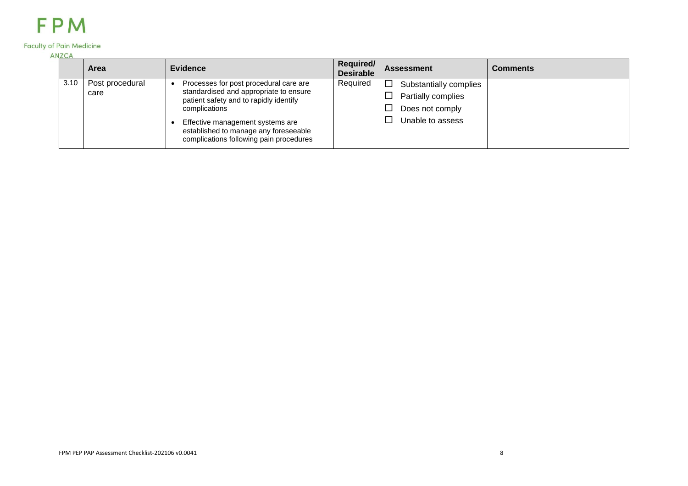### **Faculty of Pain Medicine**

| <b>IN ZUA</b> | <b>Area</b>     | <b>Evidence</b>                                                                                                      | Required/<br><b>Desirable</b> | <b>Assessment</b>           | <b>Comments</b> |
|---------------|-----------------|----------------------------------------------------------------------------------------------------------------------|-------------------------------|-----------------------------|-----------------|
| 3.10          | Post procedural | Processes for post procedural care are<br>standardised and appropriate to ensure                                     | Required                      | □<br>Substantially complies |                 |
|               | care            | patient safety and to rapidly identify                                                                               |                               | Partially complies          |                 |
|               |                 | complications                                                                                                        |                               | Does not comply             |                 |
|               |                 | Effective management systems are<br>established to manage any foreseeable<br>complications following pain procedures |                               | Unable to assess            |                 |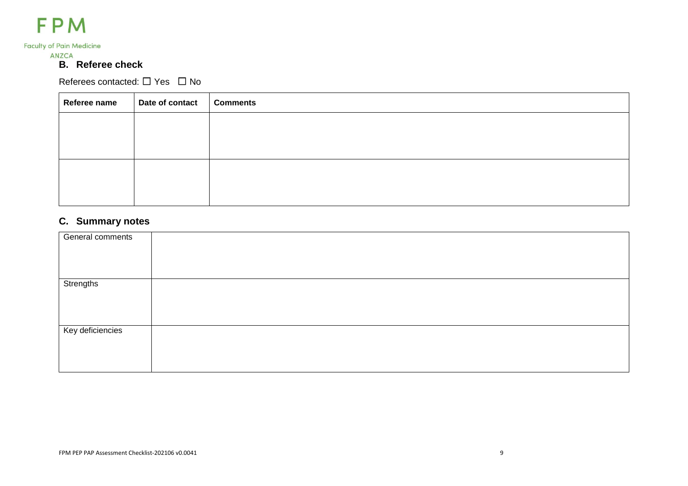

### **Faculty of Pain Medicine**

**ANZCA** 

### **B. Referee check**

Referees contacted: □ Yes □ No

| Referee name | Date of contact | <b>Comments</b> |
|--------------|-----------------|-----------------|
|              |                 |                 |
|              |                 |                 |
|              |                 |                 |
|              |                 |                 |
|              |                 |                 |

### **C. Summary notes**

| General comments |  |
|------------------|--|
|                  |  |
|                  |  |
| Strengths        |  |
|                  |  |
|                  |  |
|                  |  |
| Key deficiencies |  |
|                  |  |
|                  |  |
|                  |  |